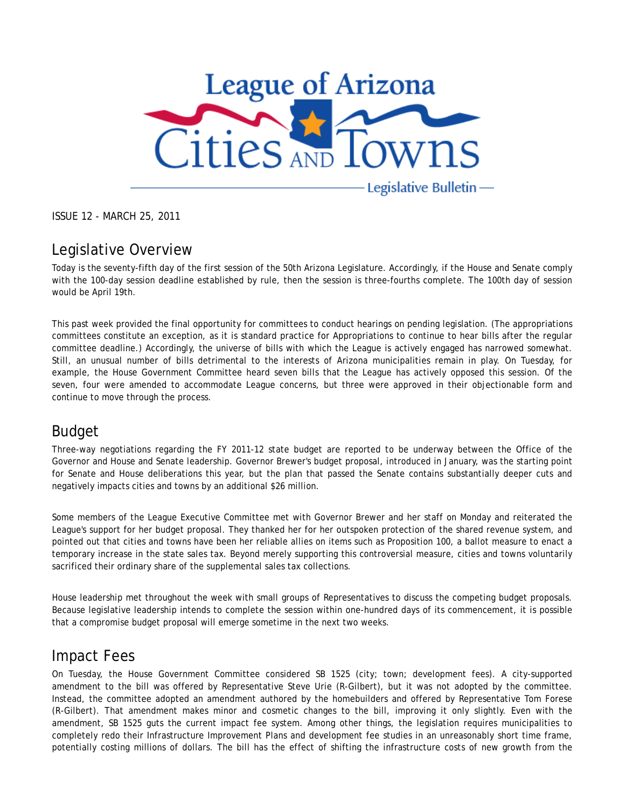

ISSUE 12 - MARCH 25, 2011

## Legislative Overview

Today is the seventy-fifth day of the first session of the 50th Arizona Legislature. Accordingly, if the House and Senate comply with the 100-day session deadline established by rule, then the session is three-fourths complete. The 100th day of session would be April 19th.

This past week provided the final opportunity for committees to conduct hearings on pending legislation. (The appropriations committees constitute an exception, as it is standard practice for Appropriations to continue to hear bills after the regular committee deadline.) Accordingly, the universe of bills with which the League is actively engaged has narrowed somewhat. Still, an unusual number of bills detrimental to the interests of Arizona municipalities remain in play. On Tuesday, for example, the House Government Committee heard seven bills that the League has actively opposed this session. Of the seven, four were amended to accommodate League concerns, but three were approved in their objectionable form and continue to move through the process.

#### Budget

Three-way negotiations regarding the FY 2011-12 state budget are reported to be underway between the Office of the Governor and House and Senate leadership. Governor Brewer's budget proposal, introduced in January, was the starting point for Senate and House deliberations this year, but the plan that passed the Senate contains substantially deeper cuts and negatively impacts cities and towns by an additional \$26 million.

Some members of the League Executive Committee met with Governor Brewer and her staff on Monday and reiterated the League's support for her budget proposal. They thanked her for her outspoken protection of the shared revenue system, and pointed out that cities and towns have been her reliable allies on items such as Proposition 100, a ballot measure to enact a temporary increase in the state sales tax. Beyond merely supporting this controversial measure, cities and towns voluntarily sacrificed their ordinary share of the supplemental sales tax collections.

House leadership met throughout the week with small groups of Representatives to discuss the competing budget proposals. Because legislative leadership intends to complete the session within one-hundred days of its commencement, it is possible that a compromise budget proposal will emerge sometime in the next two weeks.

#### Impact Fees

On Tuesday, the House Government Committee considered SB 1525 (city; town; development fees). A city-supported amendment to the bill was offered by Representative Steve Urie (R-Gilbert), but it was not adopted by the committee. Instead, the committee adopted an amendment authored by the homebuilders and offered by Representative Tom Forese (R-Gilbert). That amendment makes minor and cosmetic changes to the bill, improving it only slightly. Even with the amendment, SB 1525 guts the current impact fee system. Among other things, the legislation requires municipalities to completely redo their Infrastructure Improvement Plans and development fee studies in an unreasonably short time frame, potentially costing millions of dollars. The bill has the effect of shifting the infrastructure costs of new growth from the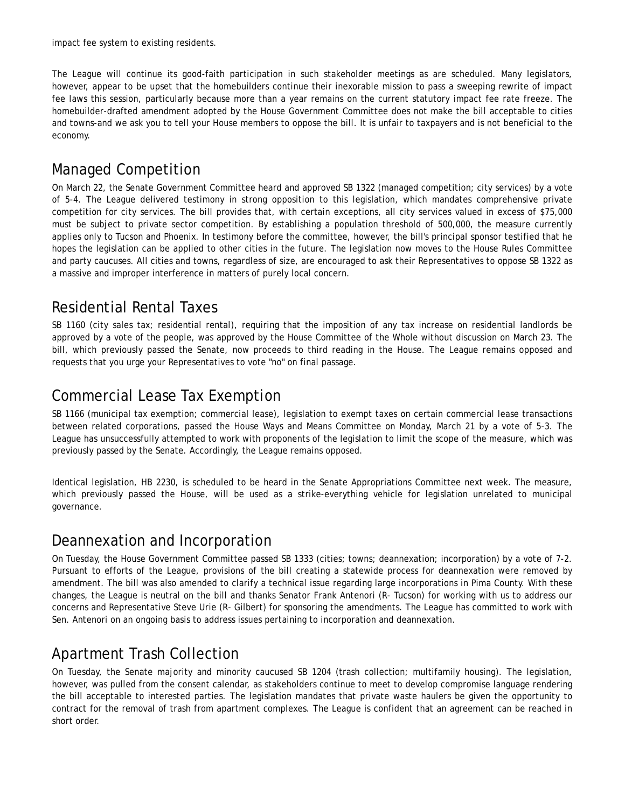impact fee system to existing residents.

The League will continue its good-faith participation in such stakeholder meetings as are scheduled. Many legislators, however, appear to be upset that the homebuilders continue their inexorable mission to pass a sweeping rewrite of impact fee laws this session, particularly because more than a year remains on the current statutory impact fee rate freeze. The homebuilder-drafted amendment adopted by the House Government Committee does not make the bill acceptable to cities and towns-and we ask you to tell your House members to oppose the bill. It is unfair to taxpayers and is not beneficial to the economy.

# Managed Competition

On March 22, the Senate Government Committee heard and approved SB 1322 (managed competition; city services) by a vote of 5-4. The League delivered testimony in strong opposition to this legislation, which mandates comprehensive private competition for city services. The bill provides that, with certain exceptions, all city services valued in excess of \$75,000 must be subject to private sector competition. By establishing a population threshold of 500,000, the measure currently applies only to Tucson and Phoenix. In testimony before the committee, however, the bill's principal sponsor testified that he hopes the legislation can be applied to other cities in the future. The legislation now moves to the House Rules Committee and party caucuses. All cities and towns, regardless of size, are encouraged to ask their Representatives to oppose SB 1322 as a massive and improper interference in matters of purely local concern.

## Residential Rental Taxes

SB 1160 (city sales tax; residential rental), requiring that the imposition of any tax increase on residential landlords be approved by a vote of the people, was approved by the House Committee of the Whole without discussion on March 23. The bill, which previously passed the Senate, now proceeds to third reading in the House. The League remains opposed and requests that you urge your Representatives to vote "no" on final passage.

## Commercial Lease Tax Exemption

SB 1166 (municipal tax exemption; commercial lease), legislation to exempt taxes on certain commercial lease transactions between related corporations, passed the House Ways and Means Committee on Monday, March 21 by a vote of 5-3. The League has unsuccessfully attempted to work with proponents of the legislation to limit the scope of the measure, which was previously passed by the Senate. Accordingly, the League remains opposed.

Identical legislation, HB 2230, is scheduled to be heard in the Senate Appropriations Committee next week. The measure, which previously passed the House, will be used as a strike-everything vehicle for legislation unrelated to municipal governance.

#### Deannexation and Incorporation

On Tuesday, the House Government Committee passed SB 1333 (cities; towns; deannexation; incorporation) by a vote of 7-2. Pursuant to efforts of the League, provisions of the bill creating a statewide process for deannexation were removed by amendment. The bill was also amended to clarify a technical issue regarding large incorporations in Pima County. With these changes, the League is neutral on the bill and thanks Senator Frank Antenori (R- Tucson) for working with us to address our concerns and Representative Steve Urie (R- Gilbert) for sponsoring the amendments. The League has committed to work with Sen. Antenori on an ongoing basis to address issues pertaining to incorporation and deannexation.

# Apartment Trash Collection

On Tuesday, the Senate majority and minority caucused SB 1204 (trash collection; multifamily housing). The legislation, however, was pulled from the consent calendar, as stakeholders continue to meet to develop compromise language rendering the bill acceptable to interested parties. The legislation mandates that private waste haulers be given the opportunity to contract for the removal of trash from apartment complexes. The League is confident that an agreement can be reached in short order.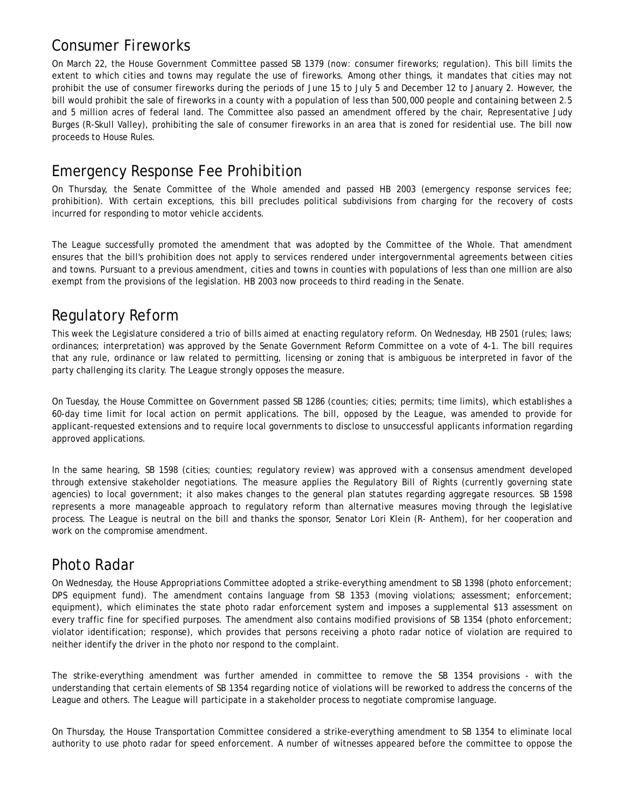## Consumer Fireworks

On March 22, the House Government Committee passed SB 1379 (now: consumer fireworks; regulation). This bill limits the extent to which cities and towns may regulate the use of fireworks. Among other things, it mandates that cities may not prohibit the use of consumer fireworks during the periods of June 15 to July 5 and December 12 to January 2. However, the bill would prohibit the sale of fireworks in a county with a population of less than 500,000 people and containing between 2.5 and 5 million acres of federal land. The Committee also passed an amendment offered by the chair, Representative Judy Burges (R-Skull Valley), prohibiting the sale of consumer fireworks in an area that is zoned for residential use. The bill now proceeds to House Rules.

## Emergency Response Fee Prohibition

On Thursday, the Senate Committee of the Whole amended and passed HB 2003 (emergency response services fee; prohibition). With certain exceptions, this bill precludes political subdivisions from charging for the recovery of costs incurred for responding to motor vehicle accidents.

The League successfully promoted the amendment that was adopted by the Committee of the Whole. That amendment ensures that the bill's prohibition does not apply to services rendered under intergovernmental agreements between cities and towns. Pursuant to a previous amendment, cities and towns in counties with populations of less than one million are also exempt from the provisions of the legislation. HB 2003 now proceeds to third reading in the Senate.

## Regulatory Reform

This week the Legislature considered a trio of bills aimed at enacting regulatory reform. On Wednesday, HB 2501 (rules; laws; ordinances; interpretation) was approved by the Senate Government Reform Committee on a vote of 4-1. The bill requires that any rule, ordinance or law related to permitting, licensing or zoning that is ambiguous be interpreted in favor of the party challenging its clarity. The League strongly opposes the measure.

On Tuesday, the House Committee on Government passed SB 1286 (counties; cities; permits; time limits), which establishes a 60-day time limit for local action on permit applications. The bill, opposed by the League, was amended to provide for applicant-requested extensions and to require local governments to disclose to unsuccessful applicants information regarding approved applications.

In the same hearing, SB 1598 (cities; counties; regulatory review) was approved with a consensus amendment developed through extensive stakeholder negotiations. The measure applies the Regulatory Bill of Rights (currently governing state agencies) to local government; it also makes changes to the general plan statutes regarding aggregate resources. SB 1598 represents a more manageable approach to regulatory reform than alternative measures moving through the legislative process. The League is neutral on the bill and thanks the sponsor, Senator Lori Klein (R- Anthem), for her cooperation and work on the compromise amendment.

## Photo Radar

On Wednesday, the House Appropriations Committee adopted a strike-everything amendment to SB 1398 (photo enforcement; DPS equipment fund). The amendment contains language from SB 1353 (moving violations; assessment; enforcement; equipment), which eliminates the state photo radar enforcement system and imposes a supplemental \$13 assessment on every traffic fine for specified purposes. The amendment also contains modified provisions of SB 1354 (photo enforcement; violator identification; response), which provides that persons receiving a photo radar notice of violation are required to neither identify the driver in the photo nor respond to the complaint.

The strike-everything amendment was further amended in committee to remove the SB 1354 provisions - with the understanding that certain elements of SB 1354 regarding notice of violations will be reworked to address the concerns of the League and others. The League will participate in a stakeholder process to negotiate compromise language.

On Thursday, the House Transportation Committee considered a strike-everything amendment to SB 1354 to eliminate local authority to use photo radar for speed enforcement. A number of witnesses appeared before the committee to oppose the